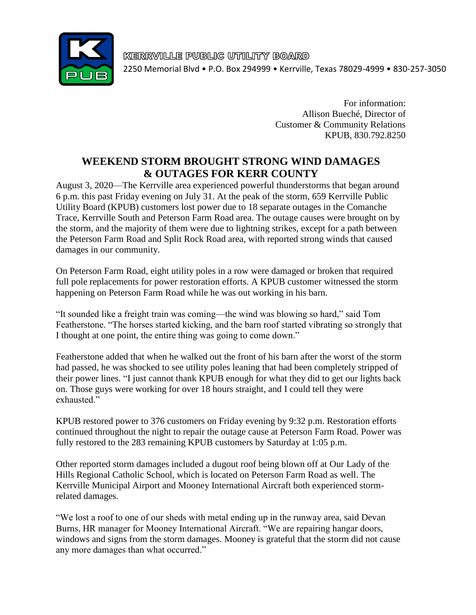

KERRVILLE PUBLIC UTILITY BOARD 2250 Memorial Blvd • P.O. Box 294999 • Kerrville, Texas 78029-4999 • 830-257-3050

> For information: Allison Bueché, Director of Customer & Community Relations KPUB, 830.792.8250

## **WEEKEND STORM BROUGHT STRONG WIND DAMAGES & OUTAGES FOR KERR COUNTY**

August 3, 2020—The Kerrville area experienced powerful thunderstorms that began around 6 p.m. this past Friday evening on July 31. At the peak of the storm, 659 Kerrville Public Utility Board (KPUB) customers lost power due to 18 separate outages in the Comanche Trace, Kerrville South and Peterson Farm Road area. The outage causes were brought on by the storm, and the majority of them were due to lightning strikes, except for a path between the Peterson Farm Road and Split Rock Road area, with reported strong winds that caused damages in our community.

On Peterson Farm Road, eight utility poles in a row were damaged or broken that required full pole replacements for power restoration efforts. A KPUB customer witnessed the storm happening on Peterson Farm Road while he was out working in his barn.

"It sounded like a freight train was coming—the wind was blowing so hard," said Tom Featherstone. "The horses started kicking, and the barn roof started vibrating so strongly that I thought at one point, the entire thing was going to come down."

Featherstone added that when he walked out the front of his barn after the worst of the storm had passed, he was shocked to see utility poles leaning that had been completely stripped of their power lines. "I just cannot thank KPUB enough for what they did to get our lights back on. Those guys were working for over 18 hours straight, and I could tell they were exhausted."

KPUB restored power to 376 customers on Friday evening by 9:32 p.m. Restoration efforts continued throughout the night to repair the outage cause at Peterson Farm Road. Power was fully restored to the 283 remaining KPUB customers by Saturday at 1:05 p.m.

Other reported storm damages included a dugout roof being blown off at Our Lady of the Hills Regional Catholic School, which is located on Peterson Farm Road as well. The Kerrville Municipal Airport and Mooney International Aircraft both experienced stormrelated damages.

"We lost a roof to one of our sheds with metal ending up in the runway area, said Devan Burns, HR manager for Mooney International Aircraft. "We are repairing hangar doors, windows and signs from the storm damages. Mooney is grateful that the storm did not cause any more damages than what occurred."